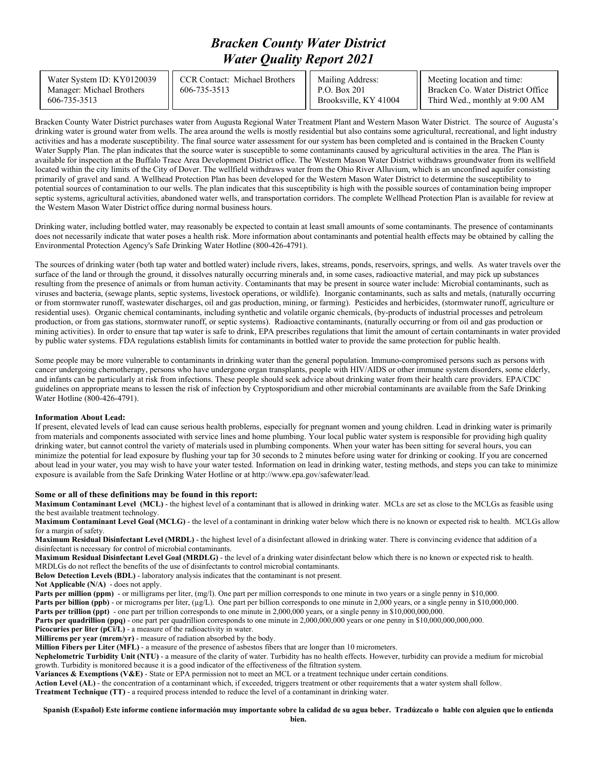# *Bracken County Water District Water Quality Report 2021*

| Water System ID: KY0120039<br>Manager: Michael Brothers<br>606-735-3513 | CCR Contact: Michael Brothers<br>606-735-3513 | Mailing Address:<br>$P.O.$ Box 201<br>Brooksville, KY 41004 | Meeting location and time:<br>Bracken Co. Water District Office<br>Third Wed., monthly at 9:00 AM |
|-------------------------------------------------------------------------|-----------------------------------------------|-------------------------------------------------------------|---------------------------------------------------------------------------------------------------|
|-------------------------------------------------------------------------|-----------------------------------------------|-------------------------------------------------------------|---------------------------------------------------------------------------------------------------|

Bracken County Water District purchases water from Augusta Regional Water Treatment Plant and Western Mason Water District. The source of Augusta's drinking water is ground water from wells. The area around the wells is mostly residential but also contains some agricultural, recreational, and light industry activities and has a moderate susceptibility. The final source water assessment for our system has been completed and is contained in the Bracken County Water Supply Plan. The plan indicates that the source water is susceptible to some contaminants caused by agricultural activities in the area. The Plan is available for inspection at the Buffalo Trace Area Development District office. The Western Mason Water District withdraws groundwater from its wellfield located within the city limits of the City of Dover. The wellfield withdraws water from the Ohio River Alluvium, which is an unconfined aquifer consisting primarily of gravel and sand. A Wellhead Protection Plan has been developed for the Western Mason Water District to determine the susceptibility to potential sources of contamination to our wells. The plan indicates that this susceptibility is high with the possible sources of contamination being improper septic systems, agricultural activities, abandoned water wells, and transportation corridors. The complete Wellhead Protection Plan is available for review at the Western Mason Water District office during normal business hours.

Drinking water, including bottled water, may reasonably be expected to contain at least small amounts of some contaminants. The presence of contaminants does not necessarily indicate that water poses a health risk. More information about contaminants and potential health effects may be obtained by calling the Environmental Protection Agency's Safe Drinking Water Hotline (800-426-4791).

The sources of drinking water (both tap water and bottled water) include rivers, lakes, streams, ponds, reservoirs, springs, and wells. As water travels over the surface of the land or through the ground, it dissolves naturally occurring minerals and, in some cases, radioactive material, and may pick up substances resulting from the presence of animals or from human activity. Contaminants that may be present in source water include: Microbial contaminants, such as viruses and bacteria, (sewage plants, septic systems, livestock operations, or wildlife). Inorganic contaminants, such as salts and metals, (naturally occurring or from stormwater runoff, wastewater discharges, oil and gas production, mining, or farming). Pesticides and herbicides, (stormwater runoff, agriculture or residential uses). Organic chemical contaminants, including synthetic and volatile organic chemicals, (by-products of industrial processes and petroleum production, or from gas stations, stormwater runoff, or septic systems). Radioactive contaminants, (naturally occurring or from oil and gas production or mining activities). In order to ensure that tap water is safe to drink, EPA prescribes regulations that limit the amount of certain contaminants in water provided by public water systems. FDA regulations establish limits for contaminants in bottled water to provide the same protection for public health.

Some people may be more vulnerable to contaminants in drinking water than the general population. Immuno-compromised persons such as persons with cancer undergoing chemotherapy, persons who have undergone organ transplants, people with HIV/AIDS or other immune system disorders, some elderly, and infants can be particularly at risk from infections. These people should seek advice about drinking water from their health care providers. EPA/CDC guidelines on appropriate means to lessen the risk of infection by Cryptosporidium and other microbial contaminants are available from the Safe Drinking Water Hotline (800-426-4791).

#### **Information About Lead:**

If present, elevated levels of lead can cause serious health problems, especially for pregnant women and young children. Lead in drinking water is primarily from materials and components associated with service lines and home plumbing. Your local public water system is responsible for providing high quality drinking water, but cannot control the variety of materials used in plumbing components. When your water has been sitting for several hours, you can minimize the potential for lead exposure by flushing your tap for 30 seconds to 2 minutes before using water for drinking or cooking. If you are concerned about lead in your water, you may wish to have your water tested. Information on lead in drinking water, testing methods, and steps you can take to minimize exposure is available from the Safe Drinking Water Hotline or at http://www.epa.gov/safewater/lead.

#### **Some or all of these definitions may be found in this report:**

**Maximum Contaminant Level (MCL)** - the highest level of a contaminant that is allowed in drinking water. MCLs are set as close to the MCLGs as feasible using the best available treatment technology.

**Maximum Contaminant Level Goal (MCLG)** - the level of a contaminant in drinking water below which there is no known or expected risk to health. MCLGs allow for a margin of safety.

**Maximum Residual Disinfectant Level (MRDL)** - the highest level of a disinfectant allowed in drinking water. There is convincing evidence that addition of a disinfectant is necessary for control of microbial contaminants.

**Maximum Residual Disinfectant Level Goal (MRDLG)** - the level of a drinking water disinfectant below which there is no known or expected risk to health. MRDLGs do not reflect the benefits of the use of disinfectants to control microbial contaminants.

**Below Detection Levels (BDL)** - laboratory analysis indicates that the contaminant is not present.

**Not Applicable (N/A)** - does not apply.

**Parts per million (ppm)** - or milligrams per liter, (mg/l). One part per million corresponds to one minute in two years or a single penny in \$10,000.

Parts per billion (ppb) - or micrograms per liter, (µg/L). One part per billion corresponds to one minute in 2,000 years, or a single penny in \$10,000,000.

**Parts per trillion (ppt)** - one part per trillion corresponds to one minute in 2,000,000 years, or a single penny in \$10,000,000,000.

**Parts per quadrillion (ppq)** - one part per quadrillion corresponds to one minute in 2,000,000,000 years or one penny in \$10,000,000,000,000.

**Picocuries per liter (pCi/L)** - a measure of the radioactivity in water.

**Millirems per year (mrem/yr)** - measure of radiation absorbed by the body.

**Million Fibers per Liter (MFL)** - a measure of the presence of asbestos fibers that are longer than 10 micrometers.

**Nephelometric Turbidity Unit (NTU)** - a measure of the clarity of water. Turbidity has no health effects. However, turbidity can provide a medium for microbial growth. Turbidity is monitored because it is a good indicator of the effectiveness of the filtration system.

**Variances & Exemptions (V&E)** - State or EPA permission not to meet an MCL or a treatment technique under certain conditions.

**Action Level (AL)** - the concentration of a contaminant which, if exceeded, triggers treatment or other requirements that a water system shall follow.

**Treatment Technique (TT)** - a required process intended to reduce the level of a contaminant in drinking water.

**Spanish (Español) Este informe contiene información muy importante sobre la calidad de su agua beber. Tradúzcalo o hable con alguien que lo entienda**